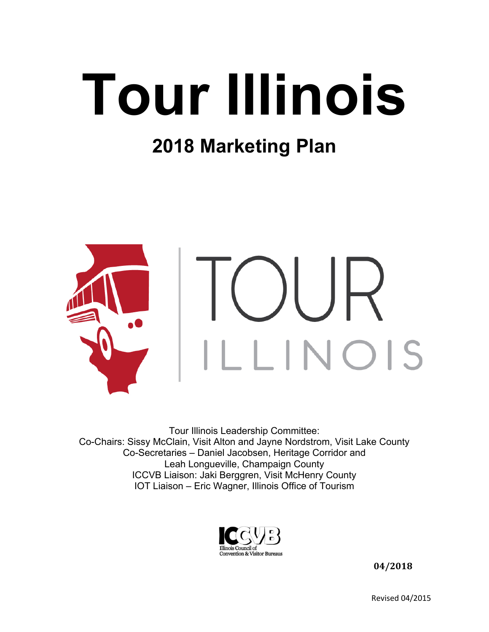# **Tour Illinois**

## **2018 Marketing Plan**



Tour Illinois Leadership Committee: Co-Chairs: Sissy McClain, Visit Alton and Jayne Nordstrom, Visit Lake County Co-Secretaries – Daniel Jacobsen, Heritage Corridor and Leah Longueville, Champaign County ICCVB Liaison: Jaki Berggren, Visit McHenry County IOT Liaison – Eric Wagner, Illinois Office of Tourism



 **04/2018**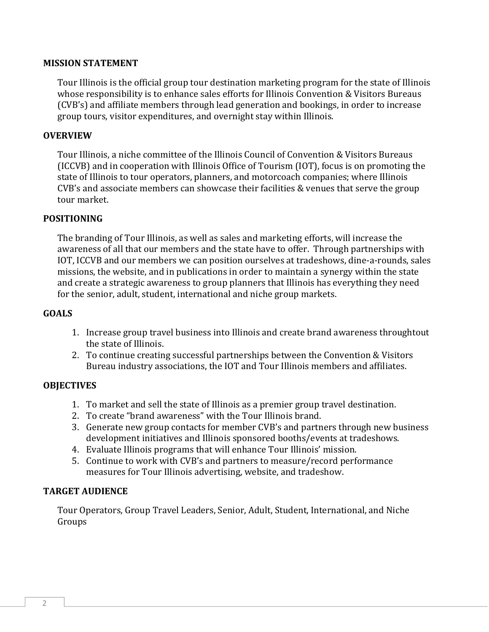#### **MISSION STATEMENT**

Tour Illinois is the official group tour destination marketing program for the state of Illinois whose responsibility is to enhance sales efforts for Illinois Convention & Visitors Bureaus (CVB's) and affiliate members through lead generation and bookings, in order to increase group tours, visitor expenditures, and overnight stay within Illinois.

#### **OVERVIEW**

Tour Illinois, a niche committee of the Illinois Council of Convention & Visitors Bureaus (ICCVB) and in cooperation with Illinois Office of Tourism (IOT), focus is on promoting the state of Illinois to tour operators, planners, and motorcoach companies; where Illinois  $CVB$ 's and associate members can showcase their facilities & venues that serve the group tour market.

#### **POSITIONING**

The branding of Tour Illinois, as well as sales and marketing efforts, will increase the awareness of all that our members and the state have to offer. Through partnerships with IOT, ICCVB and our members we can position ourselves at tradeshows, dine-a-rounds, sales missions, the website, and in publications in order to maintain a synergy within the state and create a strategic awareness to group planners that Illinois has everything they need for the senior, adult, student, international and niche group markets.

#### **GOALS**

- 1. Increase group travel business into Illinois and create brand awareness throughtout the state of Illinois.
- 2. To continue creating successful partnerships between the Convention & Visitors Bureau industry associations, the IOT and Tour Illinois members and affiliates.

#### **OBJECTIVES**

- 1. To market and sell the state of Illinois as a premier group travel destination.
- 2. To create "brand awareness" with the Tour Illinois brand.
- 3. Generate new group contacts for member CVB's and partners through new business development initiatives and Illinois sponsored booths/events at tradeshows.
- 4. Evaluate Illinois programs that will enhance Tour Illinois' mission.
- 5. Continue to work with CVB's and partners to measure/record performance measures for Tour Illinois advertising, website, and tradeshow.

#### **TARGET AUDIENCE**

Tour Operators, Group Travel Leaders, Senior, Adult, Student, International, and Niche Groups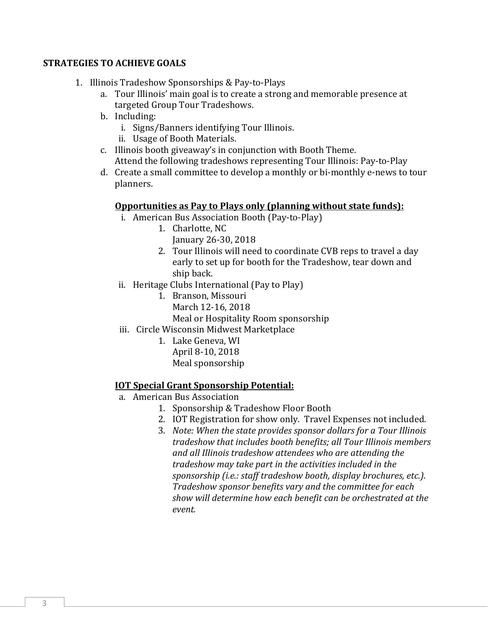#### **STRATEGIES TO ACHIEVE GOALS**

- 1. Illinois Tradeshow Sponsorships & Pay-to-Plays
	- a. Tour Illinois' main goal is to create a strong and memorable presence at targeted Group Tour Tradeshows.
	- b. Including:
		- i. Signs/Banners identifying Tour Illinois.
		- ii. Usage of Booth Materials.
	- c. Illinois booth giveaway's in conjunction with Booth Theme. Attend the following tradeshows representing Tour Illinois: Pay-to-Play
	- d. Create a small committee to develop a monthly or bi-monthly e-news to tour planners.

#### **Opportunities as Pay to Plays only (planning without state funds):**

- i. American Bus Association Booth (Pay-to-Play)
	- 1. Charlotte, NC January 26‐30, 2018
	- 2. Tour Illinois will need to coordinate CVB reps to travel a day early to set up for booth for the Tradeshow, tear down and ship back.
- ii. Heritage Clubs International (Pay to Play)
	- 1. Branson, Missouri
		- March 12-16, 2018

Meal or Hospitality Room sponsorship

- iii. Circle Wisconsin Midwest Marketplace
	- 1. Lake Geneva, WI April 8-10, 2018

### Meal sponsorship

#### **IOT Special Grant Sponsorship Potential:**

- a. American Bus Association
	- 1. Sponsorship & Tradeshow Floor Booth
	- 2. IOT Registration for show only. Travel Expenses not included.
	- 3. *Note: When the state provides sponsor dollars for a Tour Illinois tradeshow that includes booth benefits; all Tour Illinois members and all Illinois tradeshow attendees who are attending the tradeshow may take part in the activities included in the sponsorship (i.e.: staff tradeshow booth, display brochures, etc.). Tradeshow sponsor benefits vary and the committee for each show will determine how each benefit can be orchestrated at the event.*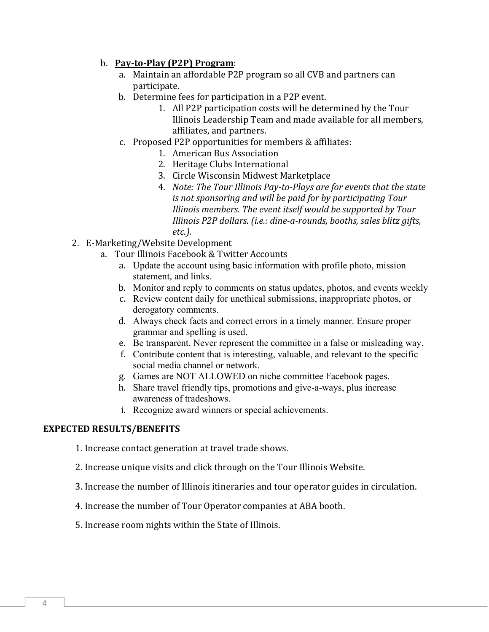#### b. **Pay‐to‐Play (P2P) Program**:

- a. Maintain an affordable P2P program so all CVB and partners can participate.
- b. Determine fees for participation in a P2P event.
	- 1. All P2P participation costs will be determined by the Tour Illinois Leadership Team and made available for all members, affiliates, and partners.
- c. Proposed P2P opportunities for members & affiliates:
	- 1. American Bus Association
	- 2. Heritage Clubs International
	- 3. Circle Wisconsin Midwest Marketplace
	- 4. *Note: The Tour Illinois Pay‐to‐Plays are for events that the state is not sponsoring and will be paid for by participating Tour Illinois members. The event itself would be supported by Tour Illinois P2P dollars. (i.e.: dine‐a‐rounds, booths, sales blitz gifts, etc.).*
- 2. E-Marketing/Website Development
	- a. Tour Illinois Facebook & Twitter Accounts
		- a. Update the account using basic information with profile photo, mission statement, and links.
		- b. Monitor and reply to comments on status updates, photos, and events weekly
		- c. Review content daily for unethical submissions, inappropriate photos, or derogatory comments.
		- d. Always check facts and correct errors in a timely manner. Ensure proper grammar and spelling is used.
		- e. Be transparent. Never represent the committee in a false or misleading way.
		- f. Contribute content that is interesting, valuable, and relevant to the specific social media channel or network.
		- g. Games are NOT ALLOWED on niche committee Facebook pages.
		- h. Share travel friendly tips, promotions and give-a-ways, plus increase awareness of tradeshows.
		- i. Recognize award winners or special achievements.

#### **EXPECTED RESULTS/BENEFITS**

1. Increase contact generation at travel trade shows.

- 2. Increase unique visits and click through on the Tour Illinois Website.
- 3. Increase the number of Illinois itineraries and tour operator guides in circulation.
- 4. Increase the number of Tour Operator companies at ABA booth.
- 5. Increase room nights within the State of Illinois.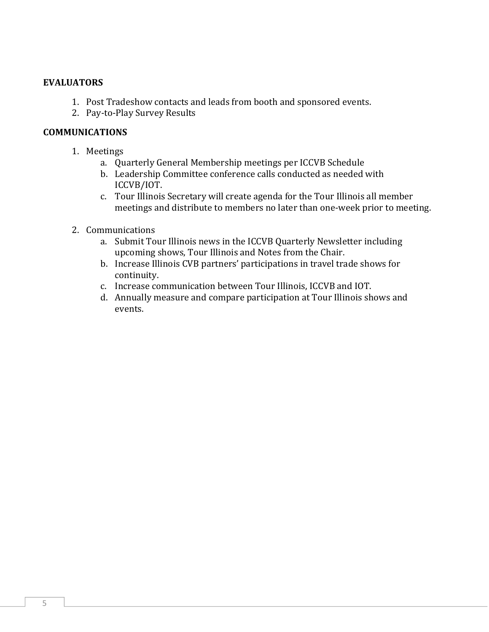#### **EVALUATORS**

- 1. Post Tradeshow contacts and leads from booth and sponsored events.
- 2. Pay-to-Play Survey Results

#### **COMMUNICATIONS**

- 1. Meetings
	- a. Quarterly General Membership meetings per ICCVB Schedule
	- b. Leadership Committee conference calls conducted as needed with ICCVB/IOT.
	- c. Tour Illinois Secretary will create agenda for the Tour Illinois all member meetings and distribute to members no later than one-week prior to meeting.
- 2. Communications
	- a. Submit Tour Illinois news in the ICCVB Quarterly Newsletter including upcoming shows, Tour Illinois and Notes from the Chair.
	- b. Increase Illinois CVB partners' participations in travel trade shows for continuity.
	- c. Increase communication between Tour Illinois, ICCVB and IOT.
	- d. Annually measure and compare participation at Tour Illinois shows and events.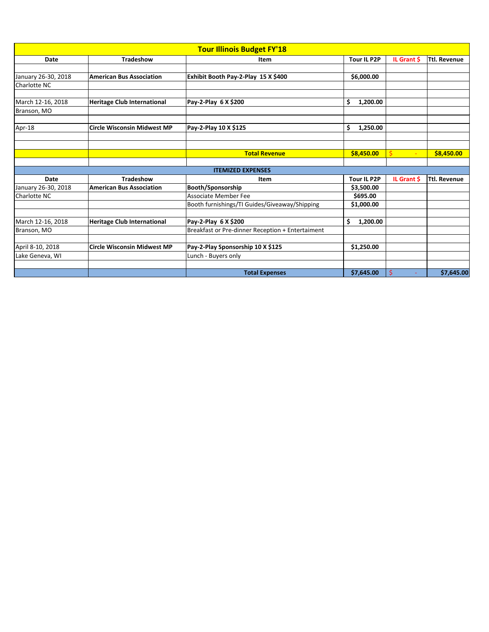| <b>Tour Illinois Budget FY'18</b> |                                    |                                                  |                    |             |                     |  |  |  |  |
|-----------------------------------|------------------------------------|--------------------------------------------------|--------------------|-------------|---------------------|--|--|--|--|
| <b>Date</b>                       | <b>Tradeshow</b>                   | <b>Item</b>                                      | <b>Tour IL P2P</b> | IL Grant \$ | <b>Ttl. Revenue</b> |  |  |  |  |
|                                   |                                    |                                                  |                    |             |                     |  |  |  |  |
| January 26-30, 2018               | <b>American Bus Association</b>    | Exhibit Booth Pay-2-Play 15 X \$400              | \$6,000.00         |             |                     |  |  |  |  |
| Charlotte NC                      |                                    |                                                  |                    |             |                     |  |  |  |  |
| March 12-16, 2018                 |                                    |                                                  | \$<br>1,200.00     |             |                     |  |  |  |  |
|                                   | <b>Heritage Club International</b> | Pay-2-Play 6 X \$200                             |                    |             |                     |  |  |  |  |
| Branson, MO                       |                                    |                                                  |                    |             |                     |  |  |  |  |
| Apr-18                            | <b>Circle Wisconsin Midwest MP</b> | Pay-2-Play 10 X \$125                            | \$<br>1,250.00     |             |                     |  |  |  |  |
|                                   |                                    |                                                  |                    |             |                     |  |  |  |  |
|                                   |                                    |                                                  |                    |             |                     |  |  |  |  |
|                                   |                                    | <b>Total Revenue</b>                             | \$8,450.00         | $\zeta$     | \$8,450.00          |  |  |  |  |
|                                   |                                    | <b>ITEMIZED EXPENSES</b>                         |                    |             |                     |  |  |  |  |
| <b>Date</b>                       | <b>Tradeshow</b>                   | Item                                             | <b>Tour IL P2P</b> | IL Grant \$ | <b>Ttl. Revenue</b> |  |  |  |  |
| January 26-30, 2018               | <b>American Bus Association</b>    | <b>Booth/Sponsorship</b>                         | \$3,500.00         |             |                     |  |  |  |  |
| Charlotte NC                      |                                    | <b>Associate Member Fee</b>                      | \$695.00           |             |                     |  |  |  |  |
|                                   |                                    | Booth furnishings/TI Guides/Giveaway/Shipping    | \$1,000.00         |             |                     |  |  |  |  |
|                                   |                                    |                                                  |                    |             |                     |  |  |  |  |
| March 12-16, 2018                 | <b>Heritage Club International</b> | Pay-2-Play 6 X \$200                             | 1,200.00           |             |                     |  |  |  |  |
| Branson, MO                       |                                    | Breakfast or Pre-dinner Reception + Entertaiment |                    |             |                     |  |  |  |  |
| April 8-10, 2018                  | <b>Circle Wisconsin Midwest MP</b> | Pay-2-Play Sponsorship 10 X \$125                | \$1,250.00         |             |                     |  |  |  |  |
| Lake Geneva, WI                   |                                    | Lunch - Buyers only                              |                    |             |                     |  |  |  |  |
|                                   |                                    |                                                  |                    |             |                     |  |  |  |  |
|                                   |                                    | <b>Total Expenses</b>                            | \$7,645.00         | $\varsigma$ | \$7,645.00          |  |  |  |  |